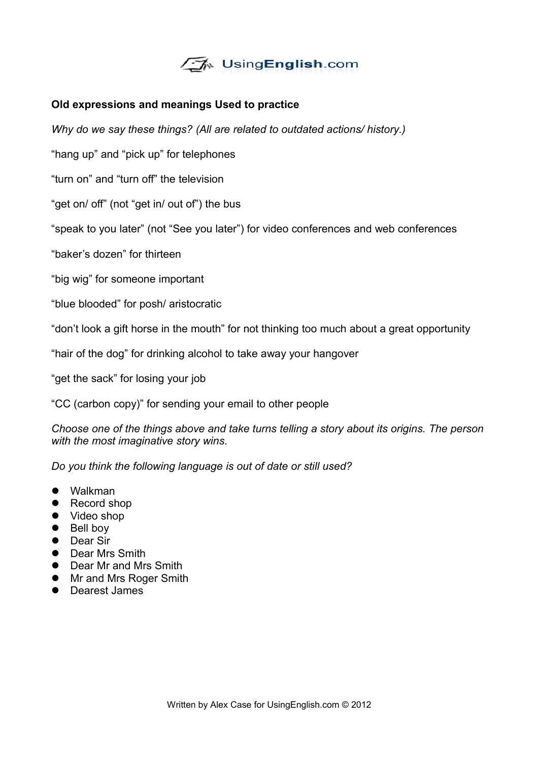

## **Old expressions and meanings Used to practice**

*Why do we say these things? (All are related to outdated actions/ history.)*

"hang up" and "pick up" for telephones

"turn on" and "turn off" the television

"get on/ off" (not "get in/ out of") the bus

"speak to you later" (not "See you later") for video conferences and web conferences

"baker's dozen" for thirteen

"big wig" for someone important

"blue blooded" for posh/ aristocratic

"don't look a gift horse in the mouth" for not thinking too much about a great opportunity

"hair of the dog" for drinking alcohol to take away your hangover

"get the sack" for losing your job

"CC (carbon copy)" for sending your email to other people

*Choose one of the things above and take turns telling a story about its origins. The person with the most imaginative story wins.*

*Do you think the following language is out of date or still used?*

- Walkman
- Record shop
- Video shop
- Bell boy
- Dear Sir
- **•** Dear Mrs Smith
- Dear Mr and Mrs Smith
- Mr and Mrs Roger Smith
- **•** Dearest James